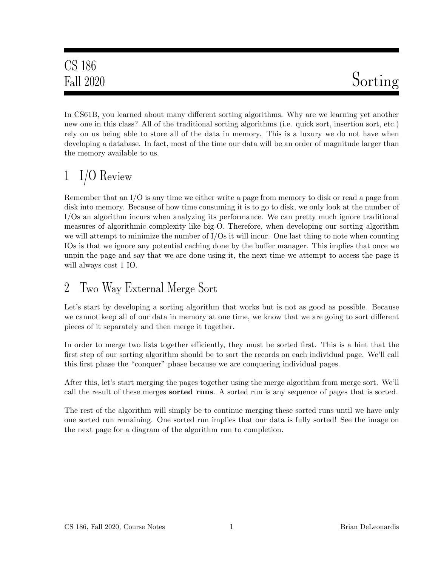In CS61B, you learned about many different sorting algorithms. Why are we learning yet another new one in this class? All of the traditional sorting algorithms (i.e. quick sort, insertion sort, etc.) rely on us being able to store all of the data in memory. This is a luxury we do not have when developing a database. In fact, most of the time our data will be an order of magnitude larger than the memory available to us.

### 1 I/O Review

Remember that an I/O is any time we either write a page from memory to disk or read a page from disk into memory. Because of how time consuming it is to go to disk, we only look at the number of I/Os an algorithm incurs when analyzing its performance. We can pretty much ignore traditional measures of algorithmic complexity like big-O. Therefore, when developing our sorting algorithm we will attempt to minimize the number of I/Os it will incur. One last thing to note when counting IOs is that we ignore any potential caching done by the buffer manager. This implies that once we unpin the page and say that we are done using it, the next time we attempt to access the page it will always cost 1 IO.

### 2 Two Way External Merge Sort

Let's start by developing a sorting algorithm that works but is not as good as possible. Because we cannot keep all of our data in memory at one time, we know that we are going to sort different pieces of it separately and then merge it together.

In order to merge two lists together efficiently, they must be sorted first. This is a hint that the first step of our sorting algorithm should be to sort the records on each individual page. We'll call this first phase the "conquer" phase because we are conquering individual pages.

After this, let's start merging the pages together using the merge algorithm from merge sort. We'll call the result of these merges sorted runs. A sorted run is any sequence of pages that is sorted.

The rest of the algorithm will simply be to continue merging these sorted runs until we have only one sorted run remaining. One sorted run implies that our data is fully sorted! See the image on the next page for a diagram of the algorithm run to completion.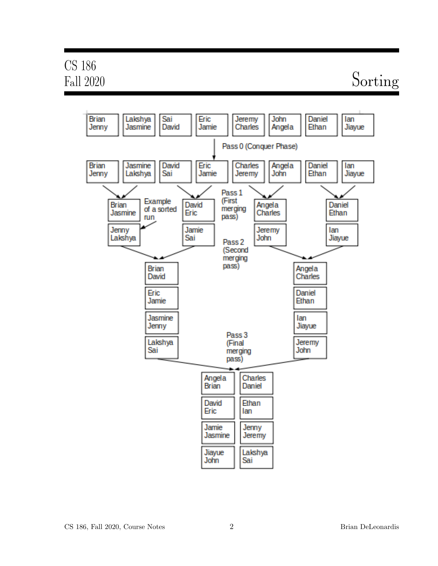# CS 186

## Fall 2020 Sorting

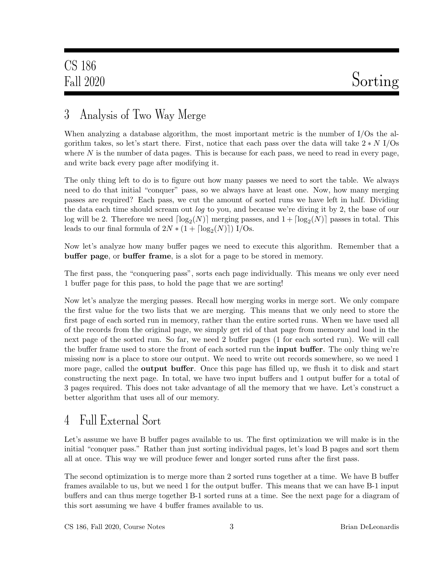### 3 Analysis of Two Way Merge

When analyzing a database algorithm, the most important metric is the number of I/Os the algorithm takes, so let's start there. First, notice that each pass over the data will take  $2*N$  I/Os where  $N$  is the number of data pages. This is because for each pass, we need to read in every page, and write back every page after modifying it.

The only thing left to do is to figure out how many passes we need to sort the table. We always need to do that initial "conquer" pass, so we always have at least one. Now, how many merging passes are required? Each pass, we cut the amount of sorted runs we have left in half. Dividing the data each time should scream out *log* to you, and because we're diving it by 2, the base of our log will be 2. Therefore we need  $\lceil \log_2(N) \rceil$  merging passes, and  $1 + \lceil \log_2(N) \rceil$  passes in total. This leads to our final formula of  $2N * (1 + \lceil \log_2(N) \rceil)$  I/Os.

Now let's analyze how many buffer pages we need to execute this algorithm. Remember that a buffer page, or buffer frame, is a slot for a page to be stored in memory.

The first pass, the "conquering pass", sorts each page individually. This means we only ever need 1 buffer page for this pass, to hold the page that we are sorting!

Now let's analyze the merging passes. Recall how merging works in merge sort. We only compare the first value for the two lists that we are merging. This means that we only need to store the first page of each sorted run in memory, rather than the entire sorted runs. When we have used all of the records from the original page, we simply get rid of that page from memory and load in the next page of the sorted run. So far, we need 2 buffer pages (1 for each sorted run). We will call the buffer frame used to store the front of each sorted run the **input buffer**. The only thing we're missing now is a place to store our output. We need to write out records somewhere, so we need 1 more page, called the **output buffer**. Once this page has filled up, we flush it to disk and start constructing the next page. In total, we have two input buffers and 1 output buffer for a total of 3 pages required. This does not take advantage of all the memory that we have. Let's construct a better algorithm that uses all of our memory.

### 4 Full External Sort

Let's assume we have B buffer pages available to us. The first optimization we will make is in the initial "conquer pass." Rather than just sorting individual pages, let's load B pages and sort them all at once. This way we will produce fewer and longer sorted runs after the first pass.

The second optimization is to merge more than 2 sorted runs together at a time. We have B buffer frames available to us, but we need 1 for the output buffer. This means that we can have B-1 input buffers and can thus merge together B-1 sorted runs at a time. See the next page for a diagram of this sort assuming we have 4 buffer frames available to us.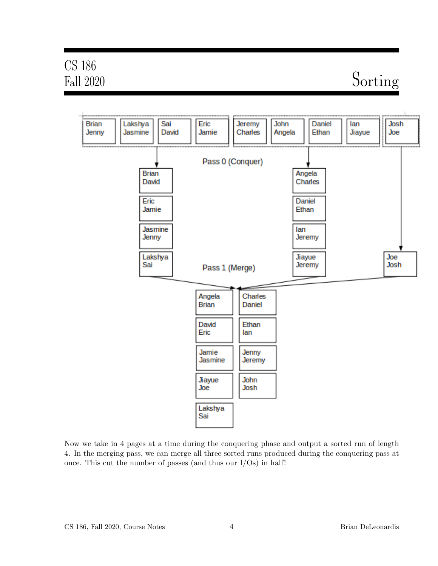# CS 186

### Fall 2020 Sorting



Now we take in 4 pages at a time during the conquering phase and output a sorted run of length 4. In the merging pass, we can merge all three sorted runs produced during the conquering pass at once. This cut the number of passes (and thus our  $I/Os$ ) in half!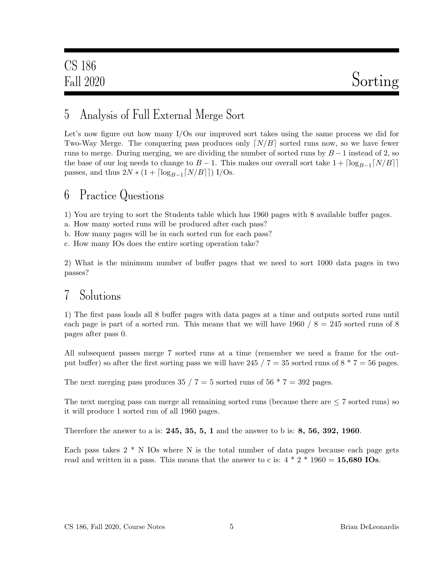### 5 Analysis of Full External Merge Sort

Let's now figure out how many I/Os our improved sort takes using the same process we did for Two-Way Merge. The conquering pass produces only  $\lceil N/B \rceil$  sorted runs now, so we have fewer runs to merge. During merging, we are dividing the number of sorted runs by  $B-1$  instead of 2, so the base of our log needs to change to  $B - 1$ . This makes our overall sort take  $1 + \lceil \log_{B-1} \lceil N/B \rceil \rceil$ passes, and thus  $2N * (1 + \lceil \log_{B-1} \lceil N/B \rceil \rceil)$  I/Os.

#### 6 Practice Questions

1) You are trying to sort the Students table which has 1960 pages with 8 available buffer pages.

a. How many sorted runs will be produced after each pass?

b. How many pages will be in each sorted run for each pass?

c. How many IOs does the entire sorting operation take?

2) What is the minimum number of buffer pages that we need to sort 1000 data pages in two passes?

#### 7 Solutions

1) The first pass loads all 8 buffer pages with data pages at a time and outputs sorted runs until each page is part of a sorted run. This means that we will have 1960  $/ 8 = 245$  sorted runs of 8 pages after pass 0.

All subsequent passes merge 7 sorted runs at a time (remember we need a frame for the output buffer) so after the first sorting pass we will have 245 /  $7 = 35$  sorted runs of  $8 * 7 = 56$  pages.

The next merging pass produces 35 / 7 = 5 sorted runs of 56  $*$  7 = 392 pages.

The next merging pass can merge all remaining sorted runs (because there are  $\leq 7$  sorted runs) so it will produce 1 sorted run of all 1960 pages.

Therefore the answer to a is: 245, 35, 5, 1 and the answer to b is: 8, 56, 392, 1960.

Each pass takes  $2 * N$  IOs where N is the total number of data pages because each page gets read and written in a pass. This means that the answer to c is:  $4 * 2 * 1960 = 15,680$  IOs.